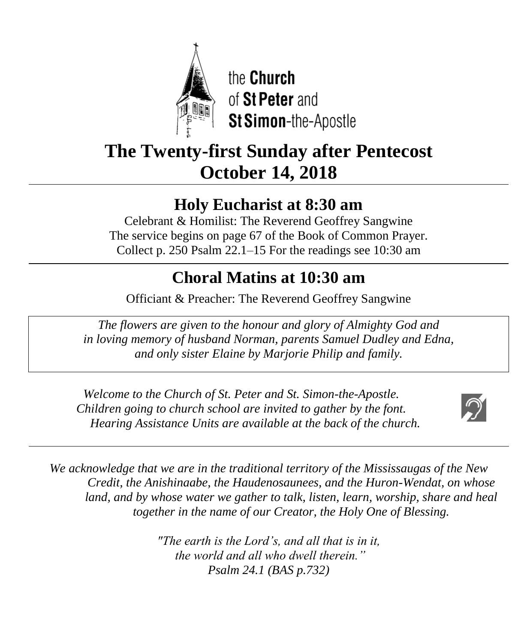

the **Church** of St Peter and St Simon-the-Apostle

# **The Twenty-first Sunday after Pentecost October 14, 2018**

## **Holy Eucharist at 8:30 am**

Celebrant & Homilist: The Reverend Geoffrey Sangwine The service begins on page 67 of the Book of Common Prayer. Collect p. 250 Psalm 22.1–15 For the readings see 10:30 am

## **Choral Matins at 10:30 am**

Officiant & Preacher: The Reverend Geoffrey Sangwine  $\overline{a}$ 

*The flowers are given to the honour and glory of Almighty God and in loving memory of husband Norman, parents Samuel Dudley and Edna, and only sister Elaine by Marjorie Philip and family.*

*Welcome to the Church of St. Peter and St. Simon-the-Apostle. Children going to church school are invited to gather by the font. Hearing Assistance Units are available at the back of the church.*



*We acknowledge that we are in the traditional territory of the Mississaugas of the New Credit, the Anishinaabe, the Haudenosaunees, and the Huron-Wendat, on whose land, and by whose water we gather to talk, listen, learn, worship, share and heal together in the name of our Creator, the Holy One of Blessing.*

> *"The earth is the Lord's, and all that is in it, the world and all who dwell therein." Psalm 24.1 (BAS p.732)*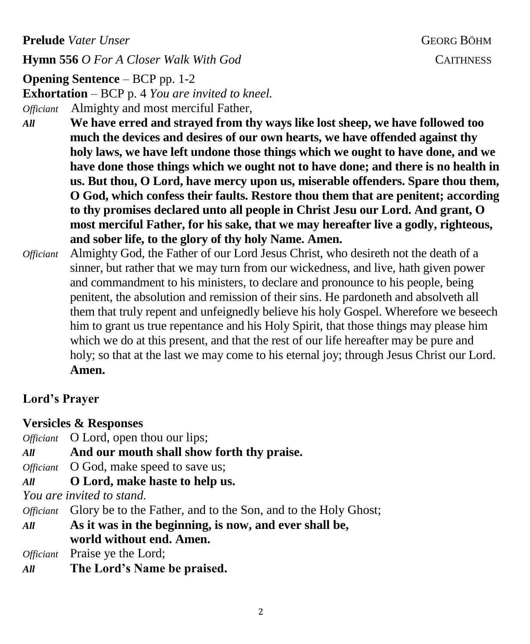**Prelude** *Vater Unser* GEORG BÖHM

**Hymn 556** *O For A Closer Walk With God* CAITHNESS

**Opening Sentence** – BCP pp. 1-2

**Exhortation** – BCP p. 4 *You are invited to kneel.*

- *Officiant* Almighty and most merciful Father,
- *All* **We have erred and strayed from thy ways like lost sheep, we have followed too much the devices and desires of our own hearts, we have offended against thy holy laws, we have left undone those things which we ought to have done, and we have done those things which we ought not to have done; and there is no health in us. But thou, O Lord, have mercy upon us, miserable offenders. Spare thou them, O God, which confess their faults. Restore thou them that are penitent; according to thy promises declared unto all people in Christ Jesu our Lord. And grant, O most merciful Father, for his sake, that we may hereafter live a godly, righteous, and sober life, to the glory of thy holy Name. Amen.**
- *Officiant* Almighty God, the Father of our Lord Jesus Christ, who desireth not the death of a sinner, but rather that we may turn from our wickedness, and live, hath given power and commandment to his ministers, to declare and pronounce to his people, being penitent, the absolution and remission of their sins. He pardoneth and absolveth all them that truly repent and unfeignedly believe his holy Gospel. Wherefore we beseech him to grant us true repentance and his Holy Spirit, that those things may please him which we do at this present, and that the rest of our life hereafter may be pure and holy; so that at the last we may come to his eternal joy; through Jesus Christ our Lord. **Amen.**

#### **Lord's Prayer**

**Versicles & Responses** 

*Officiant* O Lord, open thou our lips;

*All* **And our mouth shall show forth thy praise.**

*Officiant* O God, make speed to save us;

*All* **O Lord, make haste to help us.**

*You are invited to stand.*

*Officiant* Glory be to the Father, and to the Son, and to the Holy Ghost;

*All* **As it was in the beginning, is now, and ever shall be, world without end. Amen.**

*Officiant* Praise ye the Lord;

*All* **The Lord's Name be praised.**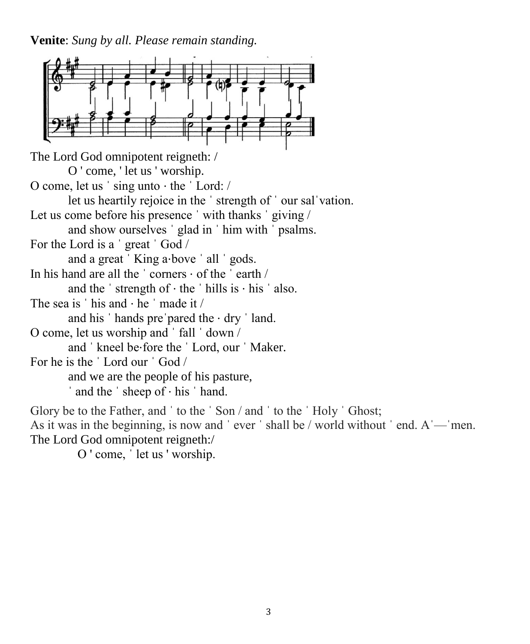**Venite**: *Sung by all. Please remain standing.*

The Lord God omnipotent reigneth: / O ' come, ' let us ' worship. O come, let us ˈ sing unto ⋅ the ˈ Lord: / let us heartily rejoice in the ˈ strength of ˈ our salˈvation. Let us come before his presence 'with thanks ' giving / and show ourselves ˈ glad in ˈ him with ˈ psalms. For the Lord is a ˈ great ˈ God / and a great 'King a⋅bove ' all ' gods. In his hand are all the ˈ corners ⋅ of the ˈ earth / and the  $\cdot$  strength of  $\cdot$  the  $\cdot$  hills is  $\cdot$  his  $\cdot$  also. The sea is ˈ his and ⋅ he ˈ made it / and his ˈ hands preˈpared the ⋅ dry ˈ land. O come, let us worship and ˈ fall ˈ down / and ˈ kneel be⋅fore the ˈ Lord, our ˈ Maker. For he is the ˈ Lord our ˈ God / and we are the people of his pasture, ˈ and the ˈ sheep of ⋅ his ˈ hand. Glory be to the Father, and 'to the 'Son / and 'to the 'Holy 'Ghost; As it was in the beginning, is now and 'ever ' shall be / world without ' end.  $A'$  — 'men. The Lord God omnipotent reigneth:/

O ' come, ˈ let us ' worship.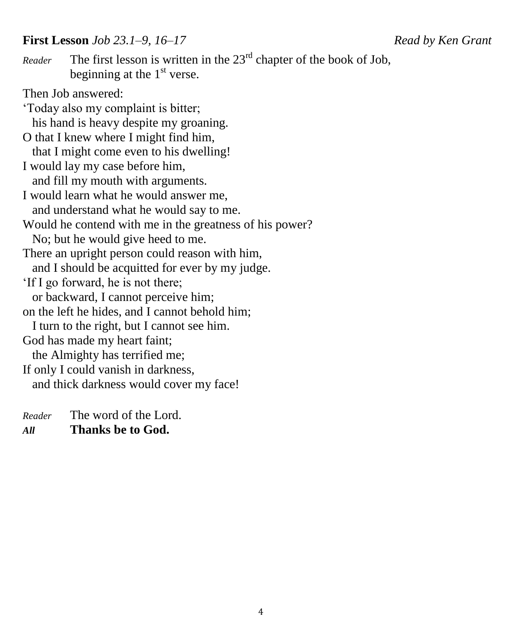#### **First Lesson** *Job 23.1–9, 16–17 Read by Ken Grant*

*Reader* The first lesson is written in the  $23<sup>rd</sup>$  chapter of the book of Job, beginning at the  $1<sup>st</sup>$  verse.

Then Job answered:

'Today also my complaint is bitter; his hand is heavy despite my groaning. O that I knew where I might find him, that I might come even to his dwelling! I would lay my case before him, and fill my mouth with arguments. I would learn what he would answer me, and understand what he would say to me. Would he contend with me in the greatness of his power? No; but he would give heed to me. There an upright person could reason with him, and I should be acquitted for ever by my judge. 'If I go forward, he is not there; or backward, I cannot perceive him; on the left he hides, and I cannot behold him; I turn to the right, but I cannot see him. God has made my heart faint; the Almighty has terrified me; If only I could vanish in darkness, and thick darkness would cover my face!

*Reader* The word of the Lord. *All* **Thanks be to God.**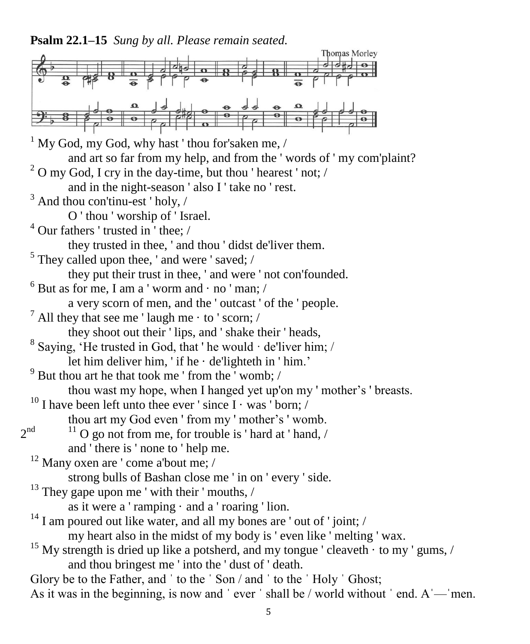**Psalm 22.1–15** *Sung by all. Please remain seated.*

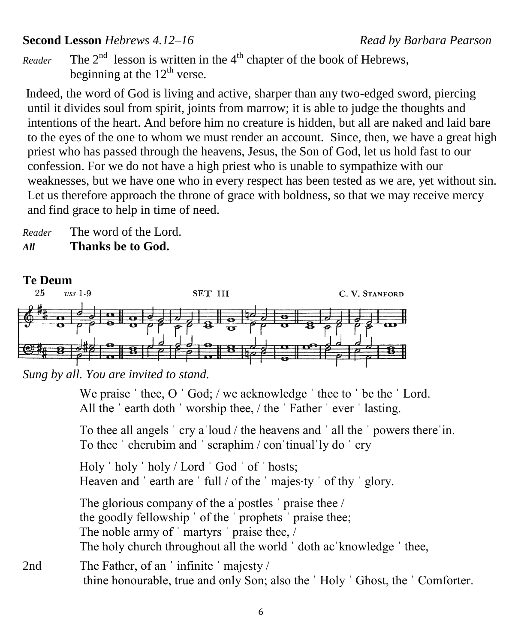#### **Second Lesson** *Hebrews 4.12–16 Read by Barbara Pearson*

*Reader* The  $2<sup>nd</sup>$  lesson is written in the  $4<sup>th</sup>$  chapter of the book of Hebrews, beginning at the  $12<sup>th</sup>$  verse.

Indeed, the word of God is living and active, sharper than any two-edged sword, piercing until it divides soul from spirit, joints from marrow; it is able to judge the thoughts and intentions of the heart. And before him no creature is hidden, but all are naked and laid bare to the eyes of the one to whom we must render an account. Since, then, we have a great high priest who has passed through the heavens, Jesus, the Son of God, let us hold fast to our confession. For we do not have a high priest who is unable to sympathize with our weaknesses, but we have one who in every respect has been tested as we are, yet without sin. Let us therefore approach the throne of grace with boldness, so that we may receive mercy and find grace to help in time of need.

*Reader* The word of the Lord. *All* **Thanks be to God.**

#### **Te Deum**



*Sung by all. You are invited to stand.*

We praise 'thee, O 'God; / we acknowledge 'thee to 'be the 'Lord. All the 'earth doth 'worship thee, / the 'Father 'ever 'lasting.

To thee all angels ˈ cry aˈloud / the heavens and ˈ all the ˈ powers thereˈin. To thee ˈ cherubim and ˈ seraphim / conˈtinualˈly do ˈ cry

Holy ˈ holy ˈ holy / Lord ˈ God ˈ of ˈ hosts; Heaven and 'earth are 'full / of the 'majes⋅ty ' of thy ' glory.

The glorious company of the a postles raise thee / the goodly fellowship ˈ of the ˈ prophets ˈ praise thee; The noble army of 'martyrs' praise thee, / The holy church throughout all the world 'doth ac 'knowledge ' thee,

2nd The Father, of an 'infinite 'majesty / thine honourable, true and only Son; also the ˈ Holy ˈ Ghost, the ˈ Comforter.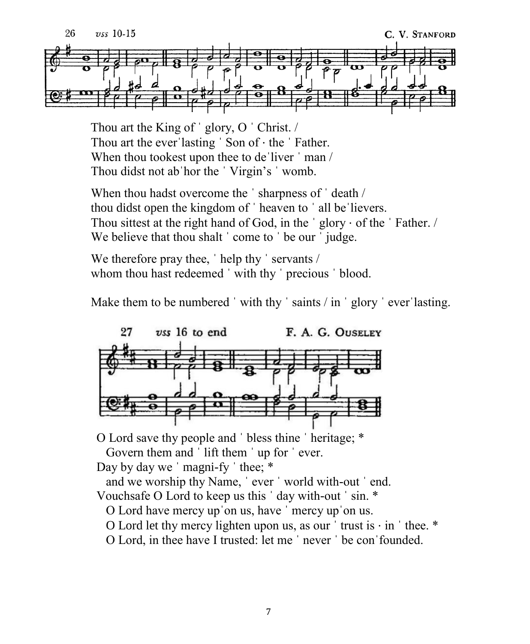

Thou art the King of 'glory, O 'Christ. / Thou art the everˈlasting ˈ Son of ⋅ the ˈ Father. When thou tookest upon thee to de liver  $\cdot$  man / Thou didst not abˈhor the ˈ Virgin's ˈ womb.

When thou hadst overcome the 'sharpness of 'death / thou didst open the kingdom of ˈ heaven to ˈ all beˈlievers. Thou sittest at the right hand of God, in the  $\prime$  glory  $\cdot$  of the  $\prime$  Father. / We believe that thou shalt ' come to ' be our ' judge.

We therefore pray thee, 'help thy ' servants / whom thou hast redeemed 'with thy ' precious ' blood.

Make them to be numbered 'with thy 'saints / in ' glory ' ever lasting.



O Lord save thy people and ˈ bless thine ˈ heritage; \* Govern them and 'lift them ' up for ' ever.

Day by day we ' magni-fy ' thee;  $*$ 

and we worship thy Name, ˈ ever ˈ world with-out ˈ end. Vouchsafe O Lord to keep us this ˈ day with-out ˈ sin. \*

O Lord have mercy upˈon us, have ˈ mercy upˈon us.

O Lord let thy mercy lighten upon us, as our  $'$  trust is  $\cdot$  in  $'$  thee.  $*$ 

O Lord, in thee have I trusted: let me ˈ never ˈ be conˈfounded.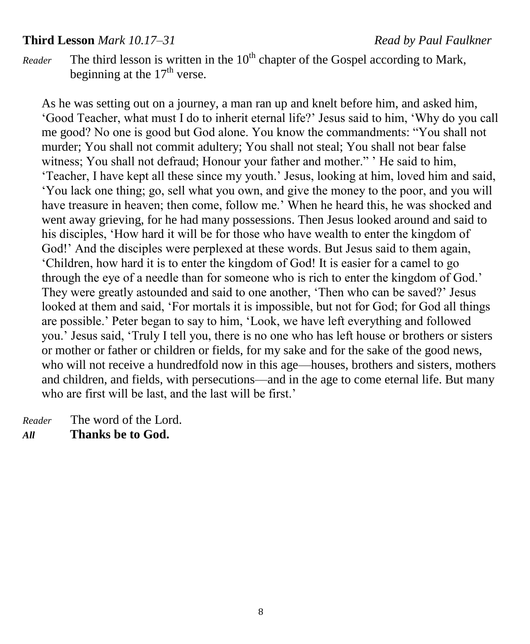#### **Third Lesson** *Mark 10.17–31 Read by Paul Faulkner*

*Reader* The third lesson is written in the  $10<sup>th</sup>$  chapter of the Gospel according to Mark, beginning at the  $17<sup>th</sup>$  verse.

As he was setting out on a journey, a man ran up and knelt before him, and asked him, 'Good Teacher, what must I do to inherit eternal life?' Jesus said to him, 'Why do you call me good? No one is good but God alone. You know the commandments: "You shall not murder; You shall not commit adultery; You shall not steal; You shall not bear false witness; You shall not defraud; Honour your father and mother." 'He said to him, 'Teacher, I have kept all these since my youth.' Jesus, looking at him, loved him and said, 'You lack one thing; go, sell what you own, and give the money to the poor, and you will have treasure in heaven; then come, follow me.' When he heard this, he was shocked and went away grieving, for he had many possessions. Then Jesus looked around and said to his disciples, 'How hard it will be for those who have wealth to enter the kingdom of God!' And the disciples were perplexed at these words. But Jesus said to them again, 'Children, how hard it is to enter the kingdom of God! It is easier for a camel to go through the eye of a needle than for someone who is rich to enter the kingdom of God.' They were greatly astounded and said to one another, 'Then who can be saved?' Jesus looked at them and said, 'For mortals it is impossible, but not for God; for God all things are possible.' Peter began to say to him, 'Look, we have left everything and followed you.' Jesus said, 'Truly I tell you, there is no one who has left house or brothers or sisters or mother or father or children or fields, for my sake and for the sake of the good news, who will not receive a hundredfold now in this age—houses, brothers and sisters, mothers and children, and fields, with persecutions—and in the age to come eternal life. But many who are first will be last, and the last will be first.'

*Reader* The word of the Lord. *All* **Thanks be to God.**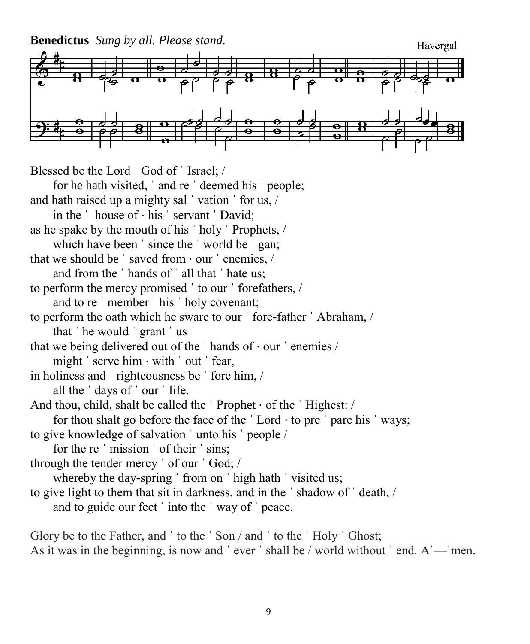**Benedictus** *Sung by all. Please stand.*

Havergal



Blessed be the Lord ˈ God of ˈ Israel; / for he hath visited, ˈ and re ˈ deemed his ˈ people; and hath raised up a mighty sal 'vation ' for us, / in the ˈ house of ⋅ his ˈ servant ˈ David; as he spake by the mouth of his ˈ holy ˈ Prophets, / which have been ' since the ' world be ' gan; that we should be ˈ saved from ⋅ our ˈ enemies, / and from the ˈ hands of ˈ all that ˈ hate us; to perform the mercy promised ˈ to our ˈ forefathers, / and to re ˈ member ˈ his ˈ holy covenant; to perform the oath which he sware to our ˈ fore-father ˈ Abraham, / that ˈ he would ˈ grant ˈ us that we being delivered out of the ˈ hands of ⋅ our ˈ enemies / might  $\sec$  serve him  $\cdot$  with  $\cot$  fear, in holiness and ˈ righteousness be ˈ fore him, / all the ˈ days of ˈ our ˈ life. And thou, child, shalt be called the  $\cdot$  Prophet  $\cdot$  of the  $\cdot$  Highest: / for thou shalt go before the face of the  $\vert$  Lord  $\cdot$  to pre  $\vert$  pare his  $\vert$  ways; to give knowledge of salvation ˈ unto his ˈ people / for the re ˈ mission ˈ of their ˈ sins; through the tender mercy ˈ of our ˈ God; / whereby the day-spring 'from on 'high hath ' visited us; to give light to them that sit in darkness, and in the ˈ shadow of ˈ death, / and to guide our feet ˈ into the ˈ way of ˈ peace.

Glory be to the Father, and 'to the 'Son / and 'to the 'Holy 'Ghost; As it was in the beginning, is now and  $\degree$  ever  $\degree$  shall be / world without  $\degree$  end. A  $\degree$  men.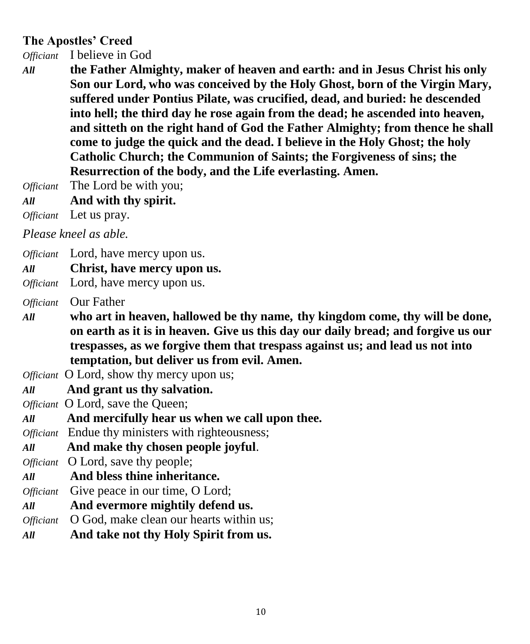#### **The Apostles' Creed**

*Officiant* I believe in God

- *All* **the Father Almighty, maker of heaven and earth: and in Jesus Christ his only Son our Lord, who was conceived by the Holy Ghost, born of the Virgin Mary, suffered under Pontius Pilate, was crucified, dead, and buried: he descended into hell; the third day he rose again from the dead; he ascended into heaven, and sitteth on the right hand of God the Father Almighty; from thence he shall come to judge the quick and the dead. I believe in the Holy Ghost; the holy Catholic Church; the Communion of Saints; the Forgiveness of sins; the Resurrection of the body, and the Life everlasting. Amen.**
- *Officiant* The Lord be with you;
- *All* **And with thy spirit.**

*Officiant* Let us pray.

*Please kneel as able.*

- *Officiant* Lord, have mercy upon us.
- *All* **Christ, have mercy upon us.**
- *Officiant* Lord, have mercy upon us.
- *Officiant* Our Father
- *All* **who art in heaven, hallowed be thy name, thy kingdom come, thy will be done, on earth as it is in heaven. Give us this day our daily bread; and forgive us our trespasses, as we forgive them that trespass against us; and lead us not into temptation, but deliver us from evil. Amen.**
- *Officiant* O Lord, show thy mercy upon us;
- *All* **And grant us thy salvation.**
- *Officiant* O Lord, save the Queen;
- *All* **And mercifully hear us when we call upon thee.**
- *Officiant* Endue thy ministers with righteousness;
- *All* **And make thy chosen people joyful**.
- *Officiant* O Lord, save thy people;
- *All* **And bless thine inheritance.**
- *Officiant* Give peace in our time, O Lord;
- *All* **And evermore mightily defend us.**
- *Officiant* O God, make clean our hearts within us;
- *All* **And take not thy Holy Spirit from us.**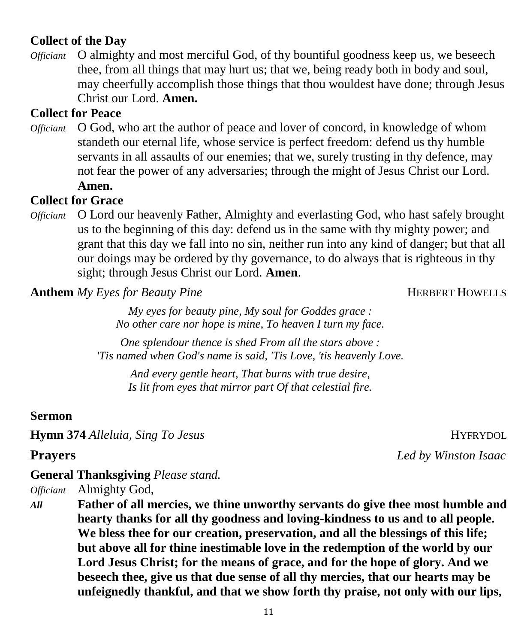### **Collect of the Day**

*Officiant* O almighty and most merciful God, of thy bountiful goodness keep us, we beseech thee, from all things that may hurt us; that we, being ready both in body and soul, may cheerfully accomplish those things that thou wouldest have done; through Jesus Christ our Lord. **Amen.**

#### **Collect for Peace**

*Officiant* O God, who art the author of peace and lover of concord, in knowledge of whom standeth our eternal life, whose service is perfect freedom: defend us thy humble servants in all assaults of our enemies; that we, surely trusting in thy defence, may not fear the power of any adversaries; through the might of Jesus Christ our Lord.

#### **Amen.**

#### **Collect for Grace**

*Officiant* O Lord our heavenly Father, Almighty and everlasting God, who hast safely brought us to the beginning of this day: defend us in the same with thy mighty power; and grant that this day we fall into no sin, neither run into any kind of danger; but that all our doings may be ordered by thy governance, to do always that is righteous in thy sight; through Jesus Christ our Lord. **Amen**.

**Anthem** *My Eyes for Beauty Pine* **HERBERT HOWELLS** 

*My eyes for beauty pine, My soul for Goddes grace : No other care nor hope is mine, To heaven I turn my face.* 

*One splendour thence is shed From all the stars above : 'Tis named when God's name is said, 'Tis Love, 'tis heavenly Love.* 

*And every gentle heart, That burns with true desire, Is lit from eyes that mirror part Of that celestial fire.*

#### **Sermon**

**Hymn 374** *Alleluia, Sing To Jesus* **Hymn 374** *Alleluia, Sing To Jesus* **Hypness** 

**Prayers** *Led by Winston Isaac*

#### **General Thanksgiving** *Please stand.*

*Officiant* Almighty God,

*All* **Father of all mercies, we thine unworthy servants do give thee most humble and hearty thanks for all thy goodness and loving-kindness to us and to all people. We bless thee for our creation, preservation, and all the blessings of this life; but above all for thine inestimable love in the redemption of the world by our Lord Jesus Christ; for the means of grace, and for the hope of glory. And we beseech thee, give us that due sense of all thy mercies, that our hearts may be unfeignedly thankful, and that we show forth thy praise, not only with our lips,**